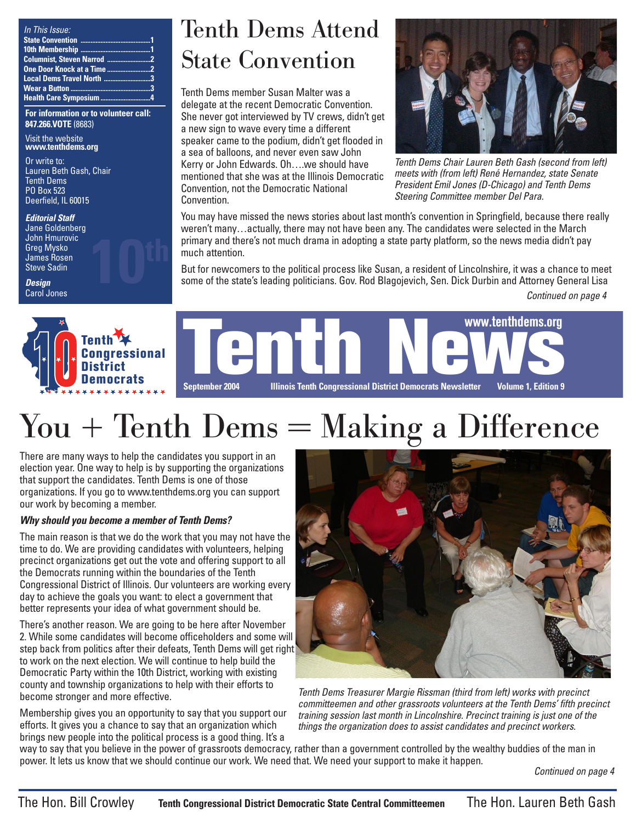| In This Issue:            |  |
|---------------------------|--|
|                           |  |
|                           |  |
|                           |  |
|                           |  |
| Local Dems Travel North 3 |  |
|                           |  |
|                           |  |

**For information or to volunteer call: 847.266.VOTE** (8683)

Visit the website **www.tenthdems.org** 

Or write to: Lauren Beth Gash, Chair Tenth Dems PO Box 523 Deerfield, IL 60015

#### **Editorial Staff**

Jane Goldenberg John Hmurovic Greg Mysko James Rosen **Steve Sadin** 

**Design** Carol Jones



Tenth Dems Attend State Convention

Tenth Dems member Susan Malter was a delegate at the recent Democratic Convention. She never got interviewed by TV crews, didn't get a new sign to wave every time a different speaker came to the podium, didn't get flooded in a sea of balloons, and never even saw John Kerry or John Edwards. Oh….we should have mentioned that she was at the Illinois Democratic Convention, not the Democratic National Convention.



Tenth Dems Chair Lauren Beth Gash (second from left) meets with (from left) René Hernandez, state Senate President Emil Jones (D-Chicago) and Tenth Dems Steering Committee member Del Para.

You may have missed the news stories about last month's convention in Springfield, because there really weren't many…actually, there may not have been any. The candidates were selected in the March primary and there's not much drama in adopting a state party platform, so the news media didn't pay much attention.

But for newcomers to the political process like Susan, a resident of Lincolnshire, it was a chance to meet some of the state's leading politicians. Gov. Rod Blagojevich, Sen. Dick Durbin and Attorney General Lisa

Continued on page 4



**Tenth News, Leading Congressional District**<br>District Democrats<br>Democrats Sentember 2004 Illinois Tenth Congressional District Democrats Newsletter Volume 1 Edition 9 **September 2004 Illinois Tenth Congressional District Democrats Newsletter Volume 1, Edition 9 www.tenthdems.org**

## You + Tenth Dems = Making a Difference

There are many ways to help the candidates you support in an election year. One way to help is by supporting the organizations that support the candidates. Tenth Dems is one of those organizations. If you go to www.tenthdems.org you can support our work by becoming a member.

### **Why should you become a member of Tenth Dems?**

The main reason is that we do the work that you may not have the time to do. We are providing candidates with volunteers, helping precinct organizations get out the vote and offering support to all the Democrats running within the boundaries of the Tenth Congressional District of Illinois. Our volunteers are working every day to achieve the goals you want: to elect a government that better represents your idea of what government should be.

There's another reason. We are going to be here after November 2. While some candidates will become officeholders and some will step back from politics after their defeats, Tenth Dems will get right to work on the next election. We will continue to help build the Democratic Party within the 10th District, working with existing county and township organizations to help with their efforts to become stronger and more effective.

Membership gives you an opportunity to say that you support our efforts. It gives you a chance to say that an organization which brings new people into the political process is a good thing. It's a



Tenth Dems Treasurer Margie Rissman (third from left) works with precinct committeemen and other grassroots volunteers at the Tenth Dems' fifth precinct training session last month in Lincolnshire. Precinct training is just one of the things the organization does to assist candidates and precinct workers.

way to say that you believe in the power of grassroots democracy, rather than a government controlled by the wealthy buddies of the man in power. It lets us know that we should continue our work. We need that. We need your support to make it happen.

Continued on page 4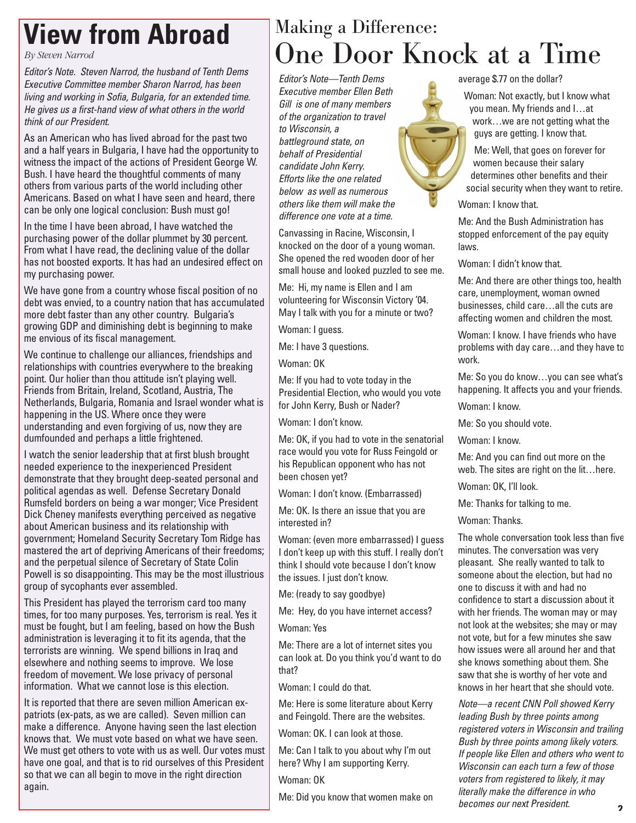## **View from Abroad**

*By Steven Narrod*

Editor's Note. Steven Narrod, the husband of Tenth Dems Executive Committee member Sharon Narrod, has been living and working in Sofia, Bulgaria, for an extended time. He gives us a first-hand view of what others in the world think of our President.

As an American who has lived abroad for the past two and a half years in Bulgaria, I have had the opportunity to witness the impact of the actions of President George W. Bush. I have heard the thoughtful comments of many others from various parts of the world including other Americans. Based on what I have seen and heard, there can be only one logical conclusion: Bush must go!

In the time I have been abroad, I have watched the purchasing power of the dollar plummet by 30 percent. From what I have read, the declining value of the dollar has not boosted exports. It has had an undesired effect on my purchasing power.

We have gone from a country whose fiscal position of no debt was envied, to a country nation that has accumulated more debt faster than any other country. Bulgaria's growing GDP and diminishing debt is beginning to make me envious of its fiscal management.

We continue to challenge our alliances, friendships and relationships with countries everywhere to the breaking point. Our holier than thou attitude isn't playing well. Friends from Britain, Ireland, Scotland, Austria, The Netherlands, Bulgaria, Romania and Israel wonder what is happening in the US. Where once they were understanding and even forgiving of us, now they are dumfounded and perhaps a little frightened.

I watch the senior leadership that at first blush brought needed experience to the inexperienced President demonstrate that they brought deep-seated personal and political agendas as well. Defense Secretary Donald Rumsfeld borders on being a war monger; Vice President Dick Cheney manifests everything perceived as negative about American business and its relationship with government; Homeland Security Secretary Tom Ridge has mastered the art of depriving Americans of their freedoms; and the perpetual silence of Secretary of State Colin Powell is so disappointing. This may be the most illustrious group of sycophants ever assembled.

This President has played the terrorism card too many times, for too many purposes. Yes, terrorism is real. Yes it must be fought, but I am feeling, based on how the Bush administration is leveraging it to fit its agenda, that the terrorists are winning. We spend billions in Iraq and elsewhere and nothing seems to improve. We lose freedom of movement. We lose privacy of personal information. What we cannot lose is this election.

It is reported that there are seven million American expatriots (ex-pats, as we are called). Seven million can make a difference. Anyone having seen the last election knows that. We must vote based on what we have seen. We must get others to vote with us as well. Our votes must have one goal, and that is to rid ourselves of this President so that we can all begin to move in the right direction again.

### Making a Difference: One Door Knock at a Time

Editor's Note—Tenth Dems Executive member Ellen Beth Gill is one of many members of the organization to travel to Wisconsin, a battleground state, on behalf of Presidential candidate John Kerry. Efforts like the one related below as well as numerous others like them will make the difference one vote at a time.

Canvassing in Racine, Wisconsin, I knocked on the door of a young woman. She opened the red wooden door of her small house and looked puzzled to see me.

Me: Hi, my name is Ellen and I am volunteering for Wisconsin Victory '04. May I talk with you for a minute or two?

Woman: I guess.

Me: I have 3 questions.

Woman: OK

Me: If you had to vote today in the Presidential Election, who would you vote for John Kerry, Bush or Nader?

Woman: I don't know.

Me: OK, if you had to vote in the senatorial race would you vote for Russ Feingold or his Republican opponent who has not been chosen yet?

Woman: I don't know. (Embarrassed)

Me: OK. Is there an issue that you are interested in?

Woman: (even more embarrassed) I guess I don't keep up with this stuff. I really don't think I should vote because I don't know the issues. I just don't know.

Me: (ready to say goodbye)

Me: Hey, do you have internet access?

Woman: Yes

Me: There are a lot of internet sites you can look at. Do you think you'd want to do that?

Woman: I could do that.

Me: Here is some literature about Kerry and Feingold. There are the websites.

Woman: OK. I can look at those.

Me: Can I talk to you about why I'm out here? Why I am supporting Kerry.

Woman: OK

Me: Did you know that women make on

average \$.77 on the dollar?

Woman: Not exactly, but I know what you mean. My friends and I…at work…we are not getting what the guys are getting. I know that.

Me: Well, that goes on forever for women because their salary determines other benefits and their social security when they want to retire.

Woman: I know that.

Me: And the Bush Administration has stopped enforcement of the pay equity laws.

Woman: I didn't know that.

Me: And there are other things too, health care, unemployment, woman owned businesses, child care…all the cuts are affecting women and children the most.

Woman: I know. I have friends who have problems with day care…and they have to work.

Me: So you do know…you can see what's happening. It affects you and your friends.

Woman: I know.

Me: So you should vote.

Woman: I know.

Me: And you can find out more on the web. The sites are right on the lit…here.

Woman: OK, I'll look.

Me: Thanks for talking to me.

Woman: Thanks.

The whole conversation took less than five minutes. The conversation was very pleasant. She really wanted to talk to someone about the election, but had no one to discuss it with and had no confidence to start a discussion about it with her friends. The woman may or may not look at the websites; she may or may not vote, but for a few minutes she saw how issues were all around her and that she knows something about them. She saw that she is worthy of her vote and knows in her heart that she should vote.

Note—a recent CNN Poll showed Kerry leading Bush by three points among registered voters in Wisconsin and trailing Bush by three points among likely voters. If people like Ellen and others who went to Wisconsin can each turn a few of those voters from registered to likely, it may literally make the difference in who becomes our next President. **2**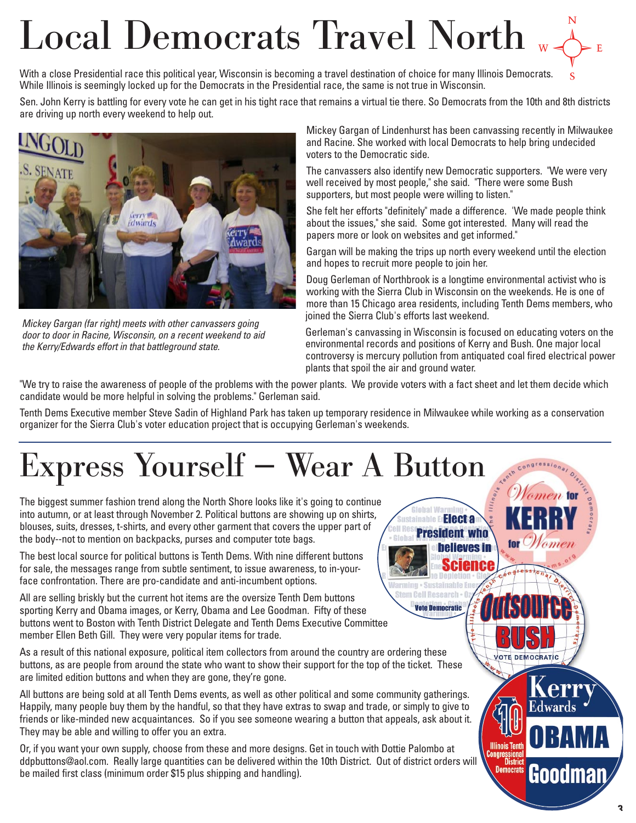# $\textbf{Local Democrats} \ \textbf{ Travel } \textbf{North} \ \textcolor{red}{\bigtriangledown_{\mathsf{R}} \bigtriangledown_{\mathsf{P}} \ \textbf{E}}$

With a close Presidential race this political year, Wisconsin is becoming a travel destination of choice for many Illinois Democrats. While Illinois is seemingly locked up for the Democrats in the Presidential race, the same is not true in Wisconsin.

Sen. John Kerry is battling for every vote he can get in his tight race that remains a virtual tie there. So Democrats from the 10th and 8th districts are driving up north every weekend to help out.



Mickey Gargan (far right) meets with other canvassers going door to door in Racine, Wisconsin, on a recent weekend to aid the Kerry/Edwards effort in that battleground state.

Mickey Gargan of Lindenhurst has been canvassing recently in Milwaukee and Racine. She worked with local Democrats to help bring undecided voters to the Democratic side.

The canvassers also identify new Democratic supporters. "We were very well received by most people," she said. "There were some Bush supporters, but most people were willing to listen."

She felt her efforts "definitely" made a difference. 'We made people think about the issues," she said. Some got interested. Many will read the papers more or look on websites and get informed."

Gargan will be making the trips up north every weekend until the election and hopes to recruit more people to join her.

Doug Gerleman of Northbrook is a longtime environmental activist who is working with the Sierra Club in Wisconsin on the weekends. He is one of more than 15 Chicago area residents, including Tenth Dems members, who joined the Sierra Club's efforts last weekend.

Gerleman's canvassing in Wisconsin is focused on educating voters on the environmental records and positions of Kerry and Bush. One major local controversy is mercury pollution from antiquated coal fired electrical power plants that spoil the air and ground water.

> **Electa President who**

> > **believes in**

arming · Sustainable En Stem Cell Research . O **Vote Democratic** 

tor Women

**VOTE DEMOCRATIC** 

**Illinois Tenth** Congressiona<br>Distric **Democrats**  Edwards

Goodmar

"We try to raise the awareness of people of the problems with the power plants. We provide voters with a fact sheet and let them decide which candidate would be more helpful in solving the problems." Gerleman said.

Tenth Dems Executive member Steve Sadin of Highland Park has taken up temporary residence in Milwaukee while working as a conservation organizer for the Sierra Club's voter education project that is occupying Gerleman's weekends.

# Express Yourself — Wear A Button

The biggest summer fashion trend along the North Shore looks like it's going to continue into autumn, or at least through November 2. Political buttons are showing up on shirts, blouses, suits, dresses, t-shirts, and every other garment that covers the upper part of the body--not to mention on backpacks, purses and computer tote bags.

The best local source for political buttons is Tenth Dems. With nine different buttons for sale, the messages range from subtle sentiment, to issue awareness, to in-yourface confrontation. There are pro-candidate and anti-incumbent options.

All are selling briskly but the current hot items are the oversize Tenth Dem buttons sporting Kerry and Obama images, or Kerry, Obama and Lee Goodman. Fifty of these buttons went to Boston with Tenth District Delegate and Tenth Dems Executive Committee member Ellen Beth Gill. They were very popular items for trade.

As a result of this national exposure, political item collectors from around the country are ordering these buttons, as are people from around the state who want to show their support for the top of the ticket. These are limited edition buttons and when they are gone, they're gone.

All buttons are being sold at all Tenth Dems events, as well as other political and some community gatherings. Happily, many people buy them by the handful, so that they have extras to swap and trade, or simply to give to friends or like-minded new acquaintances. So if you see someone wearing a button that appeals, ask about it. They may be able and willing to offer you an extra.

Or, if you want your own supply, choose from these and more designs. Get in touch with Dottie Palombo at ddpbuttons@aol.com. Really large quantities can be delivered within the 10th District. Out of district orders will be mailed first class (minimum order \$15 plus shipping and handling).